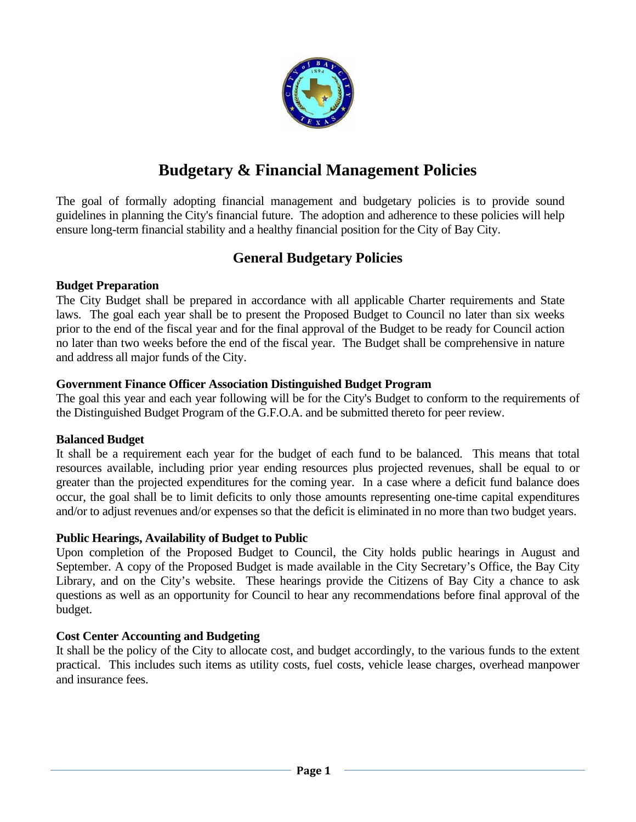

# **Budgetary & Financial Management Policies**

The goal of formally adopting financial management and budgetary policies is to provide sound guidelines in planning the City's financial future. The adoption and adherence to these policies will help ensure long-term financial stability and a healthy financial position for the City of Bay City.

# **General Budgetary Policies**

#### **Budget Preparation**

The City Budget shall be prepared in accordance with all applicable Charter requirements and State laws. The goal each year shall be to present the Proposed Budget to Council no later than six weeks prior to the end of the fiscal year and for the final approval of the Budget to be ready for Council action no later than two weeks before the end of the fiscal year. The Budget shall be comprehensive in nature and address all major funds of the City.

#### **Government Finance Officer Association Distinguished Budget Program**

The goal this year and each year following will be for the City's Budget to conform to the requirements of the Distinguished Budget Program of the G.F.O.A. and be submitted thereto for peer review.

#### **Balanced Budget**

It shall be a requirement each year for the budget of each fund to be balanced. This means that total resources available, including prior year ending resources plus projected revenues, shall be equal to or greater than the projected expenditures for the coming year. In a case where a deficit fund balance does occur, the goal shall be to limit deficits to only those amounts representing one-time capital expenditures and/or to adjust revenues and/or expenses so that the deficit is eliminated in no more than two budget years.

#### **Public Hearings, Availability of Budget to Public**

Upon completion of the Proposed Budget to Council, the City holds public hearings in August and September. A copy of the Proposed Budget is made available in the City Secretary's Office, the Bay City Library, and on the City's website. These hearings provide the Citizens of Bay City a chance to ask questions as well as an opportunity for Council to hear any recommendations before final approval of the budget.

#### **Cost Center Accounting and Budgeting**

It shall be the policy of the City to allocate cost, and budget accordingly, to the various funds to the extent practical. This includes such items as utility costs, fuel costs, vehicle lease charges, overhead manpower and insurance fees.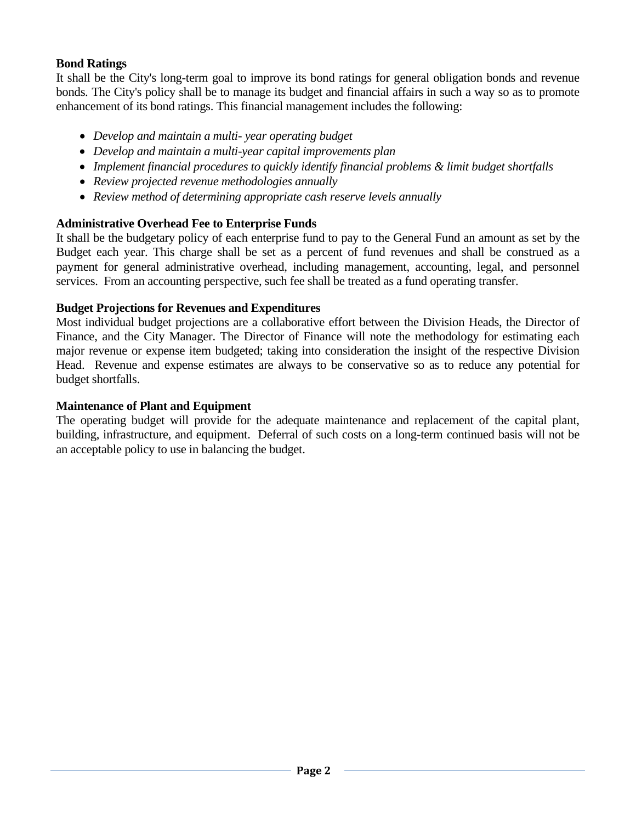## **Bond Ratings**

It shall be the City's long-term goal to improve its bond ratings for general obligation bonds and revenue bonds. The City's policy shall be to manage its budget and financial affairs in such a way so as to promote enhancement of its bond ratings. This financial management includes the following:

- *Develop and maintain a multi- year operating budget*
- *Develop and maintain a multi-year capital improvements plan*
- *Implement financial procedures to quickly identify financial problems & limit budget shortfalls*
- *Review projected revenue methodologies annually*
- *Review method of determining appropriate cash reserve levels annually*

## **Administrative Overhead Fee to Enterprise Funds**

It shall be the budgetary policy of each enterprise fund to pay to the General Fund an amount as set by the Budget each year. This charge shall be set as a percent of fund revenues and shall be construed as a payment for general administrative overhead, including management, accounting, legal, and personnel services. From an accounting perspective, such fee shall be treated as a fund operating transfer.

## **Budget Projections for Revenues and Expenditures**

Most individual budget projections are a collaborative effort between the Division Heads, the Director of Finance, and the City Manager. The Director of Finance will note the methodology for estimating each major revenue or expense item budgeted; taking into consideration the insight of the respective Division Head. Revenue and expense estimates are always to be conservative so as to reduce any potential for budget shortfalls.

#### **Maintenance of Plant and Equipment**

The operating budget will provide for the adequate maintenance and replacement of the capital plant, building, infrastructure, and equipment. Deferral of such costs on a long-term continued basis will not be an acceptable policy to use in balancing the budget.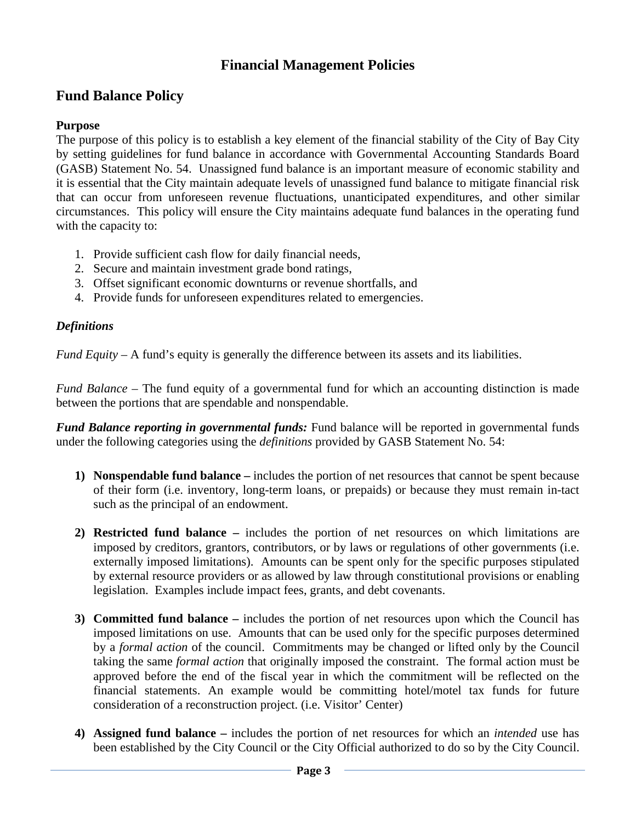# **Financial Management Policies**

# **Fund Balance Policy**

#### **Purpose**

The purpose of this policy is to establish a key element of the financial stability of the City of Bay City by setting guidelines for fund balance in accordance with Governmental Accounting Standards Board (GASB) Statement No. 54. Unassigned fund balance is an important measure of economic stability and it is essential that the City maintain adequate levels of unassigned fund balance to mitigate financial risk that can occur from unforeseen revenue fluctuations, unanticipated expenditures, and other similar circumstances. This policy will ensure the City maintains adequate fund balances in the operating fund with the capacity to:

- 1. Provide sufficient cash flow for daily financial needs,
- 2. Secure and maintain investment grade bond ratings,
- 3. Offset significant economic downturns or revenue shortfalls, and
- 4. Provide funds for unforeseen expenditures related to emergencies.

#### *Definitions*

*Fund Equity* – A fund's equity is generally the difference between its assets and its liabilities.

*Fund Balance –* The fund equity of a governmental fund for which an accounting distinction is made between the portions that are spendable and nonspendable.

*Fund Balance reporting in governmental funds:* Fund balance will be reported in governmental funds under the following categories using the *definitions* provided by GASB Statement No. 54:

- **1) Nonspendable fund balance –** includes the portion of net resources that cannot be spent because of their form (i.e. inventory, long-term loans, or prepaids) or because they must remain in-tact such as the principal of an endowment.
- **2) Restricted fund balance –** includes the portion of net resources on which limitations are imposed by creditors, grantors, contributors, or by laws or regulations of other governments (i.e. externally imposed limitations). Amounts can be spent only for the specific purposes stipulated by external resource providers or as allowed by law through constitutional provisions or enabling legislation. Examples include impact fees, grants, and debt covenants.
- **3) Committed fund balance –** includes the portion of net resources upon which the Council has imposed limitations on use.Amounts that can be used only for the specific purposes determined by a *formal action* of the council. Commitments may be changed or lifted only by the Council taking the same *formal action* that originally imposed the constraint. The formal action must be approved before the end of the fiscal year in which the commitment will be reflected on the financial statements. An example would be committing hotel/motel tax funds for future consideration of a reconstruction project. (i.e. Visitor' Center)
- **4) Assigned fund balance –** includes the portion of net resources for which an *intended* use has been established by the City Council or the City Official authorized to do so by the City Council.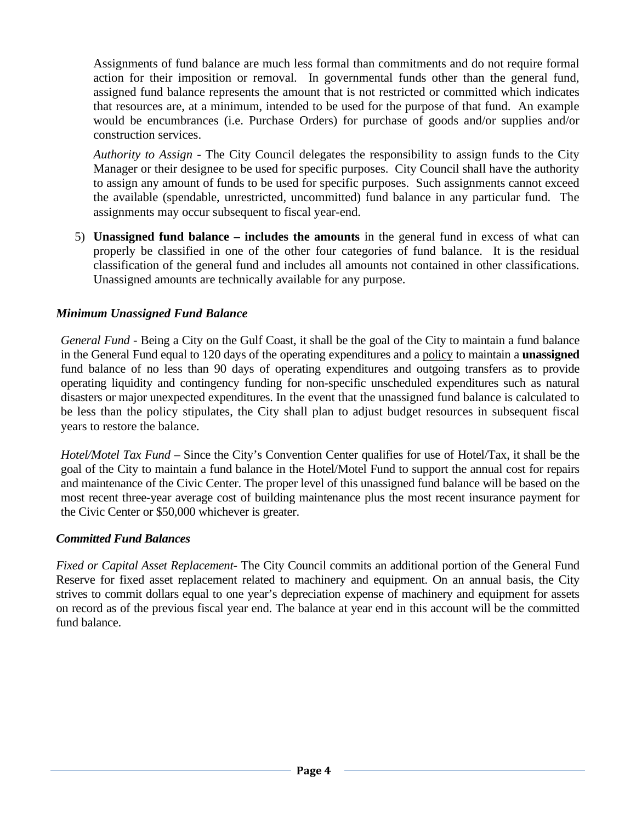Assignments of fund balance are much less formal than commitments and do not require formal action for their imposition or removal. In governmental funds other than the general fund, assigned fund balance represents the amount that is not restricted or committed which indicates that resources are, at a minimum, intended to be used for the purpose of that fund. An example would be encumbrances (i.e. Purchase Orders) for purchase of goods and/or supplies and/or construction services.

*Authority to Assign -* The City Council delegates the responsibility to assign funds to the City Manager or their designee to be used for specific purposes. City Council shall have the authority to assign any amount of funds to be used for specific purposes. Such assignments cannot exceed the available (spendable, unrestricted, uncommitted) fund balance in any particular fund. The assignments may occur subsequent to fiscal year-end.

5) **Unassigned fund balance – includes the amounts** in the general fund in excess of what can properly be classified in one of the other four categories of fund balance. It is the residual classification of the general fund and includes all amounts not contained in other classifications. Unassigned amounts are technically available for any purpose.

## *Minimum Unassigned Fund Balance*

*General Fund* - Being a City on the Gulf Coast, it shall be the goal of the City to maintain a fund balance in the General Fund equal to 120 days of the operating expenditures and a policy to maintain a **unassigned**  fund balance of no less than 90 days of operating expenditures and outgoing transfers as to provide operating liquidity and contingency funding for non-specific unscheduled expenditures such as natural disasters or major unexpected expenditures. In the event that the unassigned fund balance is calculated to be less than the policy stipulates, the City shall plan to adjust budget resources in subsequent fiscal years to restore the balance.

*Hotel/Motel Tax Fund* – Since the City's Convention Center qualifies for use of Hotel/Tax, it shall be the goal of the City to maintain a fund balance in the Hotel/Motel Fund to support the annual cost for repairs and maintenance of the Civic Center. The proper level of this unassigned fund balance will be based on the most recent three-year average cost of building maintenance plus the most recent insurance payment for the Civic Center or \$50,000 whichever is greater.

## *Committed Fund Balances*

*Fixed or Capital Asset Replacement*- The City Council commits an additional portion of the General Fund Reserve for fixed asset replacement related to machinery and equipment. On an annual basis, the City strives to commit dollars equal to one year's depreciation expense of machinery and equipment for assets on record as of the previous fiscal year end. The balance at year end in this account will be the committed fund balance.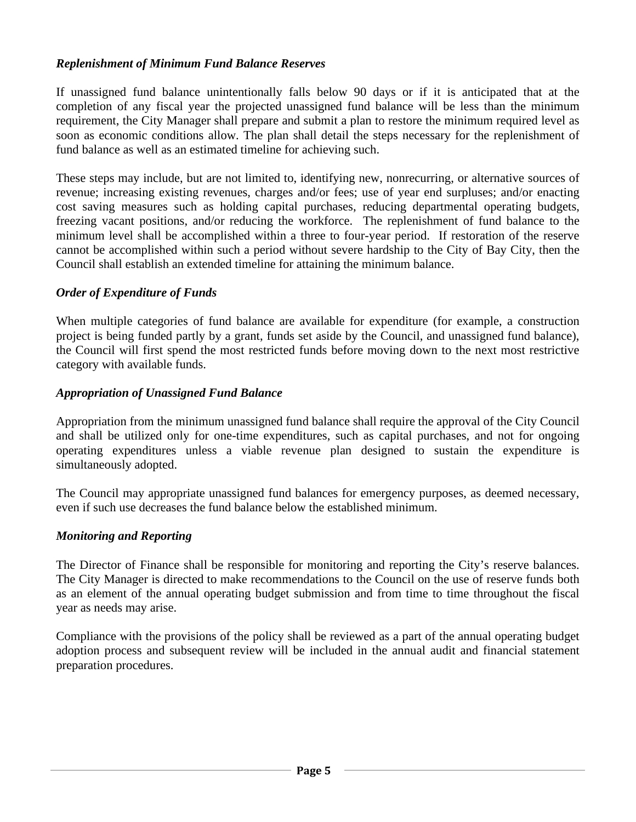## *Replenishment of Minimum Fund Balance Reserves*

If unassigned fund balance unintentionally falls below 90 days or if it is anticipated that at the completion of any fiscal year the projected unassigned fund balance will be less than the minimum requirement, the City Manager shall prepare and submit a plan to restore the minimum required level as soon as economic conditions allow. The plan shall detail the steps necessary for the replenishment of fund balance as well as an estimated timeline for achieving such.

These steps may include, but are not limited to, identifying new, nonrecurring, or alternative sources of revenue; increasing existing revenues, charges and/or fees; use of year end surpluses; and/or enacting cost saving measures such as holding capital purchases, reducing departmental operating budgets, freezing vacant positions, and/or reducing the workforce. The replenishment of fund balance to the minimum level shall be accomplished within a three to four-year period. If restoration of the reserve cannot be accomplished within such a period without severe hardship to the City of Bay City, then the Council shall establish an extended timeline for attaining the minimum balance.

#### *Order of Expenditure of Funds*

When multiple categories of fund balance are available for expenditure (for example, a construction project is being funded partly by a grant, funds set aside by the Council, and unassigned fund balance), the Council will first spend the most restricted funds before moving down to the next most restrictive category with available funds.

#### *Appropriation of Unassigned Fund Balance*

Appropriation from the minimum unassigned fund balance shall require the approval of the City Council and shall be utilized only for one-time expenditures, such as capital purchases, and not for ongoing operating expenditures unless a viable revenue plan designed to sustain the expenditure is simultaneously adopted.

The Council may appropriate unassigned fund balances for emergency purposes, as deemed necessary, even if such use decreases the fund balance below the established minimum.

#### *Monitoring and Reporting*

The Director of Finance shall be responsible for monitoring and reporting the City's reserve balances. The City Manager is directed to make recommendations to the Council on the use of reserve funds both as an element of the annual operating budget submission and from time to time throughout the fiscal year as needs may arise.

Compliance with the provisions of the policy shall be reviewed as a part of the annual operating budget adoption process and subsequent review will be included in the annual audit and financial statement preparation procedures.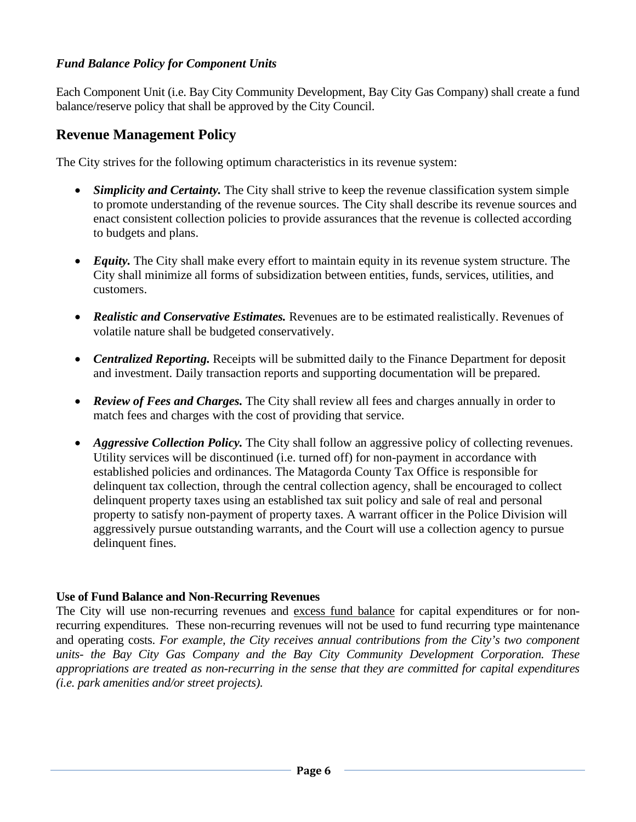## *Fund Balance Policy for Component Units*

Each Component Unit (i.e. Bay City Community Development, Bay City Gas Company) shall create a fund balance/reserve policy that shall be approved by the City Council.

## **Revenue Management Policy**

The City strives for the following optimum characteristics in its revenue system:

- *Simplicity and Certainty.* The City shall strive to keep the revenue classification system simple to promote understanding of the revenue sources. The City shall describe its revenue sources and enact consistent collection policies to provide assurances that the revenue is collected according to budgets and plans.
- *Equity*. The City shall make every effort to maintain equity in its revenue system structure. The City shall minimize all forms of subsidization between entities, funds, services, utilities, and customers.
- *Realistic and Conservative Estimates.* Revenues are to be estimated realistically. Revenues of volatile nature shall be budgeted conservatively.
- *Centralized Reporting.* Receipts will be submitted daily to the Finance Department for deposit and investment. Daily transaction reports and supporting documentation will be prepared.
- *Review of Fees and Charges.* The City shall review all fees and charges annually in order to match fees and charges with the cost of providing that service.
- *Aggressive Collection Policy*. The City shall follow an aggressive policy of collecting revenues. Utility services will be discontinued (i.e. turned off) for non-payment in accordance with established policies and ordinances. The Matagorda County Tax Office is responsible for delinquent tax collection, through the central collection agency, shall be encouraged to collect delinquent property taxes using an established tax suit policy and sale of real and personal property to satisfy non-payment of property taxes. A warrant officer in the Police Division will aggressively pursue outstanding warrants, and the Court will use a collection agency to pursue delinquent fines.

#### **Use of Fund Balance and Non-Recurring Revenues**

The City will use non-recurring revenues and excess fund balance for capital expenditures or for nonrecurring expenditures. These non-recurring revenues will not be used to fund recurring type maintenance and operating costs. *For example, the City receives annual contributions from the City's two component units- the Bay City Gas Company and the Bay City Community Development Corporation. These appropriations are treated as non-recurring in the sense that they are committed for capital expenditures (i.e. park amenities and/or street projects).*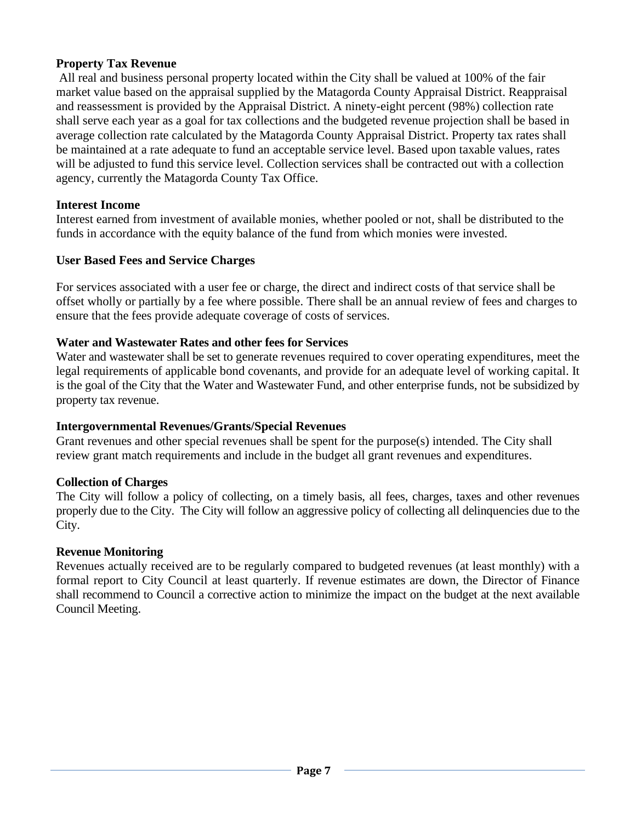## **Property Tax Revenue**

All real and business personal property located within the City shall be valued at 100% of the fair market value based on the appraisal supplied by the Matagorda County Appraisal District. Reappraisal and reassessment is provided by the Appraisal District. A ninety-eight percent (98%) collection rate shall serve each year as a goal for tax collections and the budgeted revenue projection shall be based in average collection rate calculated by the Matagorda County Appraisal District. Property tax rates shall be maintained at a rate adequate to fund an acceptable service level. Based upon taxable values, rates will be adjusted to fund this service level. Collection services shall be contracted out with a collection agency, currently the Matagorda County Tax Office.

## **Interest Income**

Interest earned from investment of available monies, whether pooled or not, shall be distributed to the funds in accordance with the equity balance of the fund from which monies were invested.

## **User Based Fees and Service Charges**

For services associated with a user fee or charge, the direct and indirect costs of that service shall be offset wholly or partially by a fee where possible. There shall be an annual review of fees and charges to ensure that the fees provide adequate coverage of costs of services.

## **Water and Wastewater Rates and other fees for Services**

Water and wastewater shall be set to generate revenues required to cover operating expenditures, meet the legal requirements of applicable bond covenants, and provide for an adequate level of working capital. It is the goal of the City that the Water and Wastewater Fund, and other enterprise funds, not be subsidized by property tax revenue.

## **Intergovernmental Revenues/Grants/Special Revenues**

Grant revenues and other special revenues shall be spent for the purpose(s) intended. The City shall review grant match requirements and include in the budget all grant revenues and expenditures.

## **Collection of Charges**

The City will follow a policy of collecting, on a timely basis, all fees, charges, taxes and other revenues properly due to the City. The City will follow an aggressive policy of collecting all delinquencies due to the City.

## **Revenue Monitoring**

Revenues actually received are to be regularly compared to budgeted revenues (at least monthly) with a formal report to City Council at least quarterly. If revenue estimates are down, the Director of Finance shall recommend to Council a corrective action to minimize the impact on the budget at the next available Council Meeting.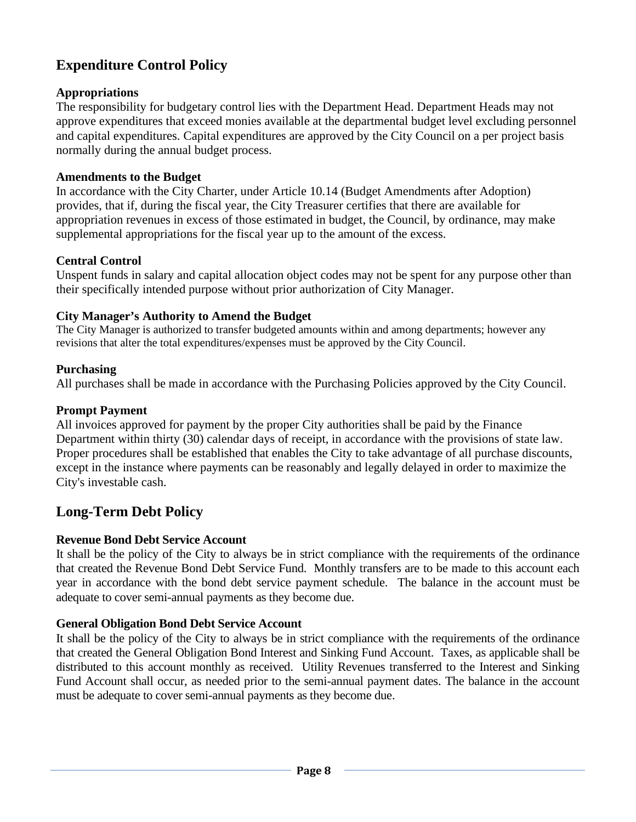# **Expenditure Control Policy**

## **Appropriations**

The responsibility for budgetary control lies with the Department Head. Department Heads may not approve expenditures that exceed monies available at the departmental budget level excluding personnel and capital expenditures. Capital expenditures are approved by the City Council on a per project basis normally during the annual budget process.

## **Amendments to the Budget**

In accordance with the City Charter, under Article 10.14 (Budget Amendments after Adoption) provides, that if, during the fiscal year, the City Treasurer certifies that there are available for appropriation revenues in excess of those estimated in budget, the Council, by ordinance, may make supplemental appropriations for the fiscal year up to the amount of the excess.

## **Central Control**

Unspent funds in salary and capital allocation object codes may not be spent for any purpose other than their specifically intended purpose without prior authorization of City Manager.

## **City Manager's Authority to Amend the Budget**

The City Manager is authorized to transfer budgeted amounts within and among departments; however any revisions that alter the total expenditures/expenses must be approved by the City Council.

#### **Purchasing**

All purchases shall be made in accordance with the Purchasing Policies approved by the City Council.

#### **Prompt Payment**

All invoices approved for payment by the proper City authorities shall be paid by the Finance Department within thirty (30) calendar days of receipt, in accordance with the provisions of state law. Proper procedures shall be established that enables the City to take advantage of all purchase discounts, except in the instance where payments can be reasonably and legally delayed in order to maximize the City's investable cash.

# **Long-Term Debt Policy**

## **Revenue Bond Debt Service Account**

It shall be the policy of the City to always be in strict compliance with the requirements of the ordinance that created the Revenue Bond Debt Service Fund. Monthly transfers are to be made to this account each year in accordance with the bond debt service payment schedule. The balance in the account must be adequate to cover semi-annual payments as they become due.

## **General Obligation Bond Debt Service Account**

It shall be the policy of the City to always be in strict compliance with the requirements of the ordinance that created the General Obligation Bond Interest and Sinking Fund Account. Taxes, as applicable shall be distributed to this account monthly as received. Utility Revenues transferred to the Interest and Sinking Fund Account shall occur, as needed prior to the semi-annual payment dates. The balance in the account must be adequate to cover semi-annual payments as they become due.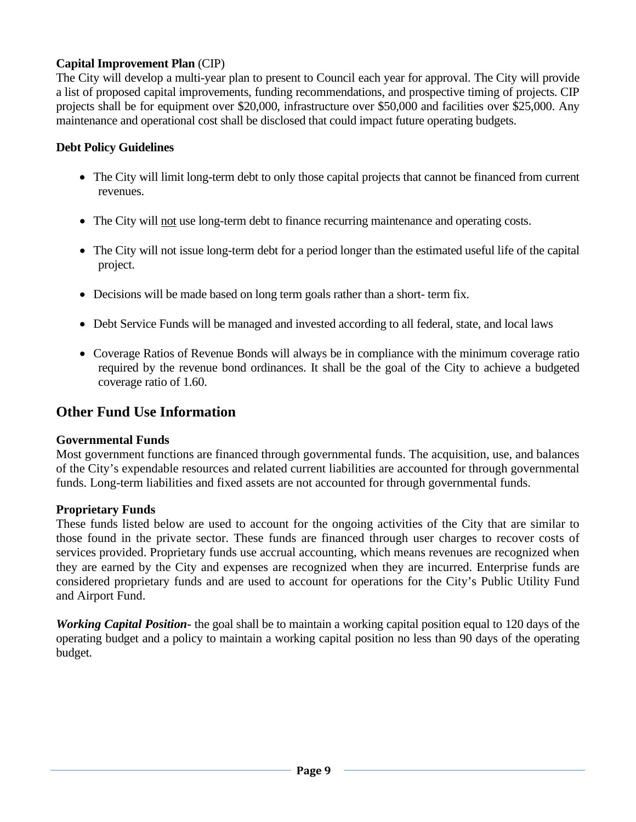## **Capital Improvement Plan** (CIP)

The City will develop a multi-year plan to present to Council each year for approval. The City will provide a list of proposed capital improvements, funding recommendations, and prospective timing of projects. CIP projects shall be for equipment over \$20,000, infrastructure over \$50,000 and facilities over \$25,000. Any maintenance and operational cost shall be disclosed that could impact future operating budgets.

#### **Debt Policy Guidelines**

- The City will limit long-term debt to only those capital projects that cannot be financed from current revenues.
- The City will not use long-term debt to finance recurring maintenance and operating costs.
- The City will not issue long-term debt for a period longer than the estimated useful life of the capital project.
- Decisions will be made based on long term goals rather than a short- term fix.
- Debt Service Funds will be managed and invested according to all federal, state, and local laws
- Coverage Ratios of Revenue Bonds will always be in compliance with the minimum coverage ratio required by the revenue bond ordinances. It shall be the goal of the City to achieve a budgeted coverage ratio of 1.60.

## **Other Fund Use Information**

#### **Governmental Funds**

Most government functions are financed through governmental funds. The acquisition, use, and balances of the City's expendable resources and related current liabilities are accounted for through governmental funds. Long-term liabilities and fixed assets are not accounted for through governmental funds.

## **Proprietary Funds**

These funds listed below are used to account for the ongoing activities of the City that are similar to those found in the private sector. These funds are financed through user charges to recover costs of services provided. Proprietary funds use accrual accounting, which means revenues are recognized when they are earned by the City and expenses are recognized when they are incurred. Enterprise funds are considered proprietary funds and are used to account for operations for the City's Public Utility Fund and Airport Fund.

*Working Capital Position***-** the goal shall be to maintain a working capital position equal to 120 days of the operating budget and a policy to maintain a working capital position no less than 90 days of the operating budget.